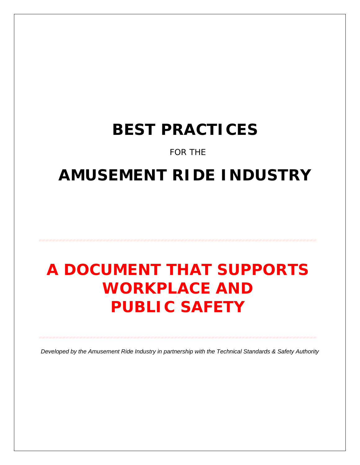## **BEST PRACTICES**

### FOR THE

## **AMUSEMENT RIDE INDUSTRY**

## **A DOCUMENT THAT SUPPORTS WORKPLACE AND PUBLIC SAFETY**

*Developed by the Amusement Ride Industry in partnership with the Technical Standards & Safety Authority*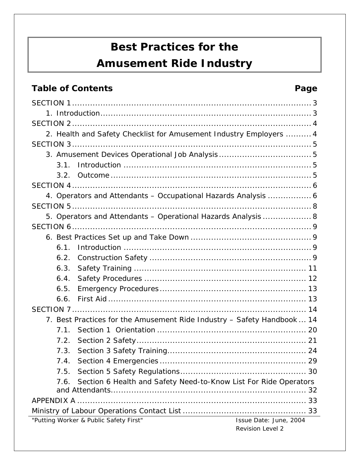## **Best Practices for the**

## **Amusement Ride Industry**

### **Table of Contents Page**

| 2. Health and Safety Checklist for Amusement Industry Employers  4                   |
|--------------------------------------------------------------------------------------|
|                                                                                      |
|                                                                                      |
| 3.1.                                                                                 |
| 3.2.                                                                                 |
|                                                                                      |
| 4. Operators and Attendants - Occupational Hazards Analysis  6                       |
|                                                                                      |
| 5. Operators and Attendants - Operational Hazards Analysis  8                        |
|                                                                                      |
|                                                                                      |
| 6.1.                                                                                 |
| 6.2.                                                                                 |
| 6.3.                                                                                 |
| 6.4.                                                                                 |
| 6.5.                                                                                 |
| 6.6.                                                                                 |
|                                                                                      |
| 7. Best Practices for the Amusement Ride Industry - Safety Handbook  14              |
| 7.1.                                                                                 |
| 7.2.                                                                                 |
| 7.3.                                                                                 |
| 7.4.                                                                                 |
| 7.5.                                                                                 |
| Section 6 Health and Safety Need-to-Know List For Ride Operators<br>7.6.             |
|                                                                                      |
|                                                                                      |
|                                                                                      |
| "Putting Worker & Public Safety First"<br>Issue Date: June, 2004<br>Revision Level 2 |
|                                                                                      |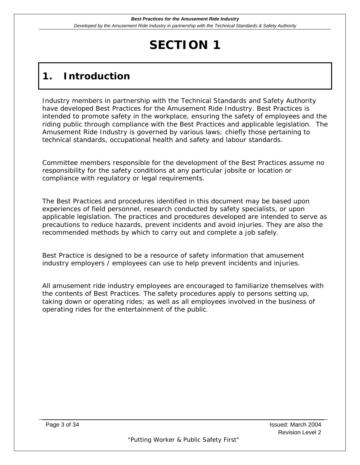## <span id="page-2-0"></span>**1. Introduction**

Industry members in partnership with the Technical Standards and Safety Authority have developed Best Practices for the Amusement Ride Industry. Best Practices is intended to promote safety in the workplace, ensuring the safety of employees and the riding public through compliance with the Best Practices and applicable legislation. The Amusement Ride Industry is governed by various laws; chiefly those pertaining to technical standards, occupational health and safety and labour standards.

Committee members responsible for the development of the Best Practices assume no responsibility for the safety conditions at any particular jobsite or location or compliance with regulatory or legal requirements.

The Best Practices and procedures identified in this document may be based upon experiences of field personnel, research conducted by safety specialists, or upon applicable legislation. The practices and procedures developed are intended to serve as precautions to reduce hazards, prevent incidents and avoid injuries. They are also the recommended methods by which to carry out and complete a job safely.

Best Practice is designed to be a resource of safety information that amusement industry employers / employees can use to help prevent incidents and injuries.

All amusement ride industry employees are encouraged to familiarize themselves with the contents of Best Practices. The safety procedures apply to persons setting up, taking down or operating rides; as well as all employees involved in the business of operating rides for the entertainment of the public.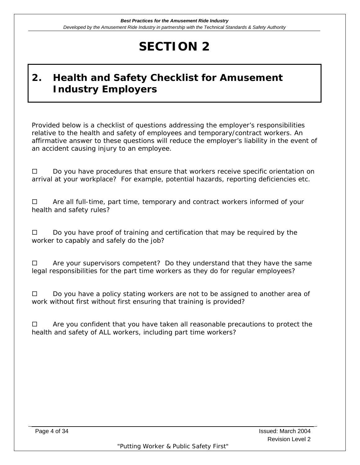## <span id="page-3-0"></span>**2. Health and Safety Checklist for Amusement Industry Employers**

Provided below is a checklist of questions addressing the employer's responsibilities relative to the health and safety of employees and temporary/contract workers. An affirmative answer to these questions will reduce the employer's liability in the event of an accident causing injury to an employee.

 $\Box$  Do you have procedures that ensure that workers receive specific orientation on arrival at your workplace? For example, potential hazards, reporting deficiencies etc.

 $\Box$  Are all full-time, part time, temporary and contract workers informed of your health and safety rules?

 $\Box$  Do you have proof of training and certification that may be required by the worker to capably and safely do the job?

 $\Box$  Are your supervisors competent? Do they understand that they have the same legal responsibilities for the part time workers as they do for regular employees?

 $\Box$  Do you have a policy stating workers are not to be assigned to another area of work without first without first ensuring that training is provided?

 $\Box$  Are you confident that you have taken all reasonable precautions to protect the health and safety of ALL workers, including part time workers?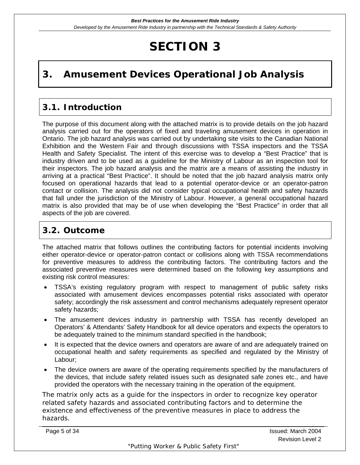## <span id="page-4-0"></span>**3. Amusement Devices Operational Job Analysis**

### **3.1. Introduction**

The purpose of this document along with the attached matrix is to provide details on the job hazard analysis carried out for the operators of fixed and traveling amusement devices in operation in Ontario. The job hazard analysis was carried out by undertaking site visits to the Canadian National Exhibition and the Western Fair and through discussions with TSSA inspectors and the TSSA Health and Safety Specialist. The intent of this exercise was to develop a "Best Practice" that is industry driven and to be used as a guideline for the Ministry of Labour as an inspection tool for their inspectors. The job hazard analysis and the matrix are a means of assisting the industry in arriving at a practical "Best Practice". It should be noted that the job hazard analysis matrix only focused on operational hazards that lead to a potential operator-device or an operator-patron contact or collision. The analysis did not consider typical occupational health and safety hazards that fall under the jurisdiction of the Ministry of Labour. However, a general occupational hazard matrix is also provided that may be of use when developing the "Best Practice" in order that all aspects of the job are covered.

### **3.2. Outcome**

The attached matrix that follows outlines the contributing factors for potential incidents involving either operator-device or operator-patron contact or collisions along with TSSA recommendations for preventive measures to address the contributing factors. The contributing factors and the associated preventive measures were determined based on the following key assumptions and existing risk control measures:

- TSSA's existing regulatory program with respect to management of public safety risks associated with amusement devices encompasses potential risks associated with operator safety; accordingly the risk assessment and control mechanisms adequately represent operator safety hazards;
- The amusement devices industry in partnership with TSSA has recently developed an Operators' & Attendants' Safety Handbook for all device operators and expects the operators to be adequately trained to the minimum standard specified in the handbook;
- It is expected that the device owners and operators are aware of and are adequately trained on occupational health and safety requirements as specified and regulated by the Ministry of Labour;
- The device owners are aware of the operating requirements specified by the manufacturers of the devices, that include safety related issues such as designated safe zones etc., and have provided the operators with the necessary training in the operation of the equipment.

The matrix only acts as a guide for the inspectors in order to recognize key operator related safety hazards and associated contributing factors and to determine the existence and effectiveness of the preventive measures in place to address the hazards.

| Page 5 of 34 |                                        | Issued: March 2004      |
|--------------|----------------------------------------|-------------------------|
|              |                                        | <b>Revision Level 2</b> |
|              | "Putting Worker & Public Safety First" |                         |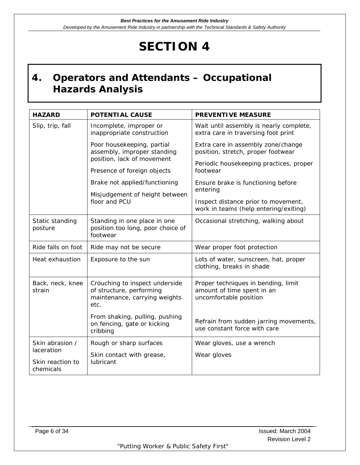## <span id="page-5-0"></span>**4. Operators and Attendants – Occupational Hazards Analysis**

| <b>HAZARD</b>                               | <b>POTENTIAL CAUSE</b>                                                                              | <b>PREVENTIVE MEASURE</b>                                                                   |  |
|---------------------------------------------|-----------------------------------------------------------------------------------------------------|---------------------------------------------------------------------------------------------|--|
| Slip, trip, fall                            | Incomplete, improper or<br>inappropriate construction                                               | Wait until assembly is nearly complete,<br>extra care in traversing foot print              |  |
|                                             | Poor housekeeping, partial<br>assembly, improper standing                                           | Extra care in assembly zone/change<br>position, stretch, proper footwear                    |  |
|                                             | position, lack of movement<br>Presence of foreign objects                                           | Periodic housekeeping practices, proper<br>footwear                                         |  |
|                                             | Brake not applied/functioning                                                                       | Ensure brake is functioning before<br>entering                                              |  |
|                                             | Misjudgement of height between<br>floor and PCU                                                     | Inspect distance prior to movement,<br>work in teams (help entering/exiting)                |  |
| Static standing<br>posture                  | Standing in one place in one<br>position too long, poor choice of<br>footwear                       | Occasional stretching, walking about                                                        |  |
| Ride falls on foot                          | Ride may not be secure                                                                              | Wear proper foot protection                                                                 |  |
| Heat exhaustion                             | Exposure to the sun                                                                                 | Lots of water, sunscreen, hat, proper<br>clothing, breaks in shade                          |  |
| Back, neck, knee<br>strain                  | Crouching to inspect underside<br>of structure, performing<br>maintenance, carrying weights<br>etc. | Proper techniques in bending, limit<br>amount of time spent in an<br>uncomfortable position |  |
|                                             | From shaking, pulling, pushing<br>on fencing, gate or kicking<br>cribbing                           | Refrain from sudden jarring movements,<br>use constant force with care                      |  |
| Skin abrasion /                             | Rough or sharp surfaces                                                                             | Wear gloves, use a wrench                                                                   |  |
| laceration<br>Skin reaction to<br>chemicals | Skin contact with grease,<br>lubricant                                                              | Wear gloves                                                                                 |  |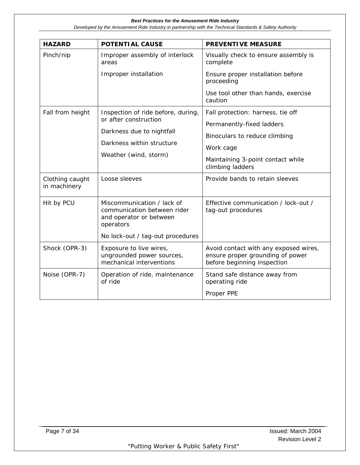#### *Best Practices for the Amusement Ride Industry Developed by the Amusement Ride Industry in partnership with the Technical Standards & Safety Authority*

| <b>HAZARD</b>                   | <b>POTENTIAL CAUSE</b>                                                                            | <b>PREVENTIVE MEASURE</b>                                                                                |  |
|---------------------------------|---------------------------------------------------------------------------------------------------|----------------------------------------------------------------------------------------------------------|--|
| Pinch/nip                       | Improper assembly of interlock<br>areas                                                           | Visually check to ensure assembly is<br>complete                                                         |  |
|                                 | Improper installation                                                                             | Ensure proper installation before<br>proceeding                                                          |  |
|                                 |                                                                                                   | Use tool other than hands, exercise<br>caution                                                           |  |
| Fall from height                | Inspection of ride before, during,                                                                | Fall protection: harness, tie off                                                                        |  |
|                                 | or after construction                                                                             | Permanently-fixed ladders                                                                                |  |
|                                 | Darkness due to nightfall                                                                         | Binoculars to reduce climbing                                                                            |  |
|                                 | Darkness within structure                                                                         | Work cage                                                                                                |  |
|                                 | Weather (wind, storm)                                                                             | Maintaining 3-point contact while<br>climbing ladders                                                    |  |
| Clothing caught<br>in machinery | Loose sleeves                                                                                     | Provide bands to retain sleeves                                                                          |  |
| Hit by PCU                      | Miscommunication / lack of<br>communication between rider<br>and operator or between<br>operators | Effective communication / lock-out /<br>tag-out procedures                                               |  |
|                                 | No lock-out / tag-out procedures                                                                  |                                                                                                          |  |
| Shock (OPR-3)                   | Exposure to live wires,<br>ungrounded power sources,<br>mechanical interventions                  | Avoid contact with any exposed wires,<br>ensure proper grounding of power<br>before beginning inspection |  |
| Noise (OPR-7)                   | Operation of ride, maintenance<br>of ride                                                         | Stand safe distance away from<br>operating ride                                                          |  |
|                                 |                                                                                                   | Proper PPE                                                                                               |  |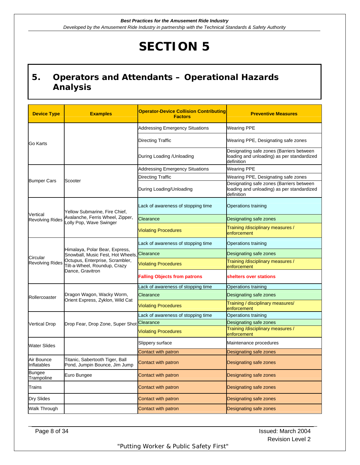### <span id="page-7-0"></span>**5. Operators and Attendants – Operational Hazards Analysis**

| <b>Device Type</b>                 | <b>Examples</b>                                                                                                                                                      | <b>Operator-Device Collision Contributing</b><br><b>Factors</b> | <b>Preventive Measures</b>                                                                           |
|------------------------------------|----------------------------------------------------------------------------------------------------------------------------------------------------------------------|-----------------------------------------------------------------|------------------------------------------------------------------------------------------------------|
|                                    |                                                                                                                                                                      | <b>Addressing Emergency Situations</b>                          | <b>Wearing PPE</b>                                                                                   |
| Go Karts                           |                                                                                                                                                                      | <b>Directing Traffic</b>                                        | Wearing PPE, Designating safe zones                                                                  |
|                                    |                                                                                                                                                                      | During Loading / Unloading                                      | Designating safe zones (Barriers between<br>oading and unloading) as per standardized<br>definition  |
|                                    |                                                                                                                                                                      | <b>Addressing Emergency Situations</b>                          | <b>Wearing PPE</b>                                                                                   |
|                                    |                                                                                                                                                                      | Directing Traffic                                               | Wearing PPE, Designating safe zones                                                                  |
| <b>Bumper Cars</b>                 | Scooter                                                                                                                                                              | During Loading/Unloading                                        | Designating safe zones (Barriers between<br>loading and unloading) as per standardized<br>definition |
|                                    | Yellow Submarine, Fire Chief,                                                                                                                                        | Lack of awareness of stopping time                              | Operations training                                                                                  |
| Vertical<br><b>Revolving Rides</b> | Avalanche, Ferris Wheel, Zipper,                                                                                                                                     | Clearance                                                       | Designating safe zones                                                                               |
|                                    | Lolly Pop, Wave Swinger                                                                                                                                              | <b>Violating Procedures</b>                                     | Training /disciplinary measures /<br>enforcement                                                     |
|                                    | Himalaya, Polar Bear, Express,<br>Snowball, Music Fest, Hot Wheels, Clearance<br>Octupus, Enterprise, Scrambler,<br>Tilt-a-Wheel, Roundup, Crazy<br>Dance, Gravitron | Lack of awareness of stopping time                              | Operations training                                                                                  |
|                                    |                                                                                                                                                                      |                                                                 | Designating safe zones                                                                               |
| Circular<br><b>Revolving Rides</b> |                                                                                                                                                                      | <b>Violating Procedures</b>                                     | Training /disciplinary measures /<br>enforcement                                                     |
|                                    |                                                                                                                                                                      | <b>Falling Objects from patrons</b>                             | shelters over stations                                                                               |
|                                    |                                                                                                                                                                      | ack of awareness of stopping time                               | Operations training                                                                                  |
| Rollercoaster                      | Dragon Wagon, Wacky Worm,<br>Orient Express, Zyklon, Wild Cat                                                                                                        | Clearance                                                       | Designating safe zones                                                                               |
|                                    |                                                                                                                                                                      | <b>Violating Procedures</b>                                     | Training / disciplinary measures/<br>enforcement                                                     |
|                                    |                                                                                                                                                                      | Lack of awareness of stopping time                              | Operations training                                                                                  |
| <b>Vertical Drop</b>               | Drop Fear, Drop Zone, Super Shot                                                                                                                                     | Clearance                                                       | Designating safe zones                                                                               |
|                                    |                                                                                                                                                                      | <b>Violating Procedures</b>                                     | Training /disciplinary measures /<br>enforcement                                                     |
| <b>Water Slides</b>                |                                                                                                                                                                      | Slippery surface                                                | Maintenance procedures                                                                               |
|                                    |                                                                                                                                                                      | Contact with patron                                             | Designating safe zones                                                                               |
| Air Bounce<br>Inflatables          | Titanic, Sabertooth Tiger, Ball<br>Pond, Jumpin Bounce, Jim Jump                                                                                                     | Contact with patron                                             | Designating safe zones                                                                               |
| <b>Bungee</b><br>Trampoline        | Euro Bungee                                                                                                                                                          | Contact with patron                                             | <b>Designating safe zones</b>                                                                        |
| Trains                             |                                                                                                                                                                      | Contact with patron                                             | Designating safe zones                                                                               |
| Dry Slides                         |                                                                                                                                                                      | Contact with patron                                             | Designating safe zones                                                                               |
| Walk Through                       |                                                                                                                                                                      | Contact with patron                                             | Designating safe zones                                                                               |

Page 8 of 34 Issued: March 2004 Revision Level 2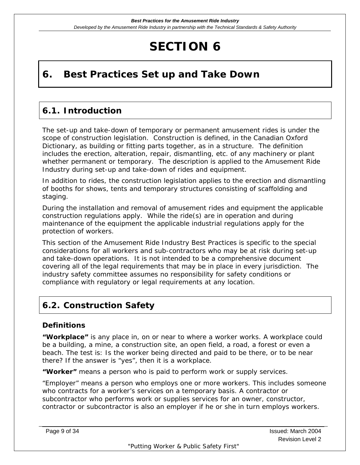## <span id="page-8-0"></span>**6. Best Practices Set up and Take Down**

### **6.1. Introduction**

The set-up and take-down of temporary or permanent amusement rides is under the scope of construction legislation. Construction is defined, in the Canadian Oxford Dictionary, as building or fitting parts together, as in a structure. The definition includes the erection, alteration, repair, dismantling, etc. of any machinery or plant whether permanent or temporary. The description is applied to the Amusement Ride Industry during set-up and take-down of rides and equipment.

In addition to rides, the construction legislation applies to the erection and dismantling of booths for shows, tents and temporary structures consisting of scaffolding and staging.

During the installation and removal of amusement rides and equipment the applicable *construction regulations* apply. While the ride(s) are in operation and during maintenance of the equipment the applicable *industrial regulations* apply for the protection of workers.

This section of the Amusement Ride Industry Best Practices is specific to the special considerations for all workers and sub-contractors who may be at risk during set-up and take-down operations. It is not intended to be a comprehensive document covering all of the legal requirements that may be in place in every jurisdiction. The industry safety committee assumes no responsibility for safety conditions or compliance with regulatory or legal requirements at any location.

### **6.2. Construction Safety**

#### **Definitions**

**"Workplace"** is any place in, on or near to where a worker works. A workplace could be a building, a mine, a construction site, an open field, a road, a forest or even a beach. The test is: Is the worker being directed and paid to be there, or to be near there? If the answer is "yes", then it is a workplace.

**"Worker"** means a person who is paid to perform work or supply services.

"Employer" means a person who employs one or more workers. This includes someone who contracts for a worker's services on a temporary basis. A contractor or subcontractor who performs work or supplies services for an owner, constructor, contractor or subcontractor is also an employer if he or she in turn employs workers.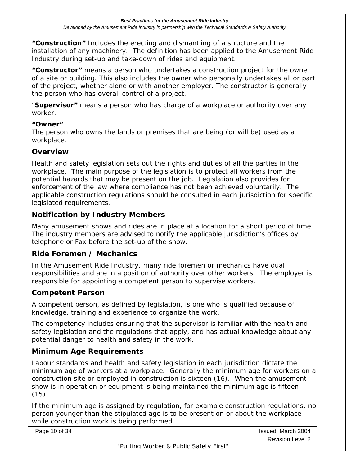**"Construction"** Includes the erecting and dismantling of a structure and the installation of any machinery. The definition has been applied to the Amusement Ride Industry during set-up and take-down of rides and equipment.

**"Constructor"** means a person who undertakes a construction project for the owner of a site or building. This also includes the owner who personally undertakes all or part of the project, whether alone or with another employer. The constructor is generally the person who has overall control of a project.

"**Supervisor"** means a person who has charge of a workplace or authority over any worker.

#### **"Owner"**

The person who owns the lands or premises that are being (or will be) used as a workplace.

#### **Overview**

Health and safety legislation sets out the rights and duties of all the parties in the workplace. The main purpose of the legislation is to protect all workers from the potential hazards that may be present on the job. Legislation also provides for enforcement of the law where compliance has not been achieved voluntarily. The applicable construction regulations should be consulted in each jurisdiction for specific legislated requirements.

### **Notification by Industry Members**

Many amusement shows and rides are in place at a location for a short period of time. The industry members are advised to notify the applicable jurisdiction's offices by telephone or Fax before the set-up of the show.

#### **Ride Foremen / Mechanics**

In the Amusement Ride Industry, many ride foremen or mechanics have dual responsibilities and are in a position of authority over other workers. The employer is responsible for appointing a competent person to supervise workers.

#### **Competent Person**

A competent person, as defined by legislation, is one who is qualified because of knowledge, training and experience to organize the work.

The competency includes ensuring that the supervisor is familiar with the health and safety legislation and the regulations that apply, and has actual knowledge about any potential danger to health and safety in the work.

### **Minimum Age Requirements**

Labour standards and health and safety legislation in each jurisdiction dictate the minimum age of workers at a workplace. Generally the minimum age for workers on a construction site or employed in construction is sixteen (16). When the amusement show is in operation or equipment is being maintained the minimum age is fifteen  $(15)$ .

If the minimum age is assigned by regulation, for example construction regulations, no person younger than the stipulated age is to be present on or about the workplace while construction work is being performed.

| hile construction work is being performed. |                         |
|--------------------------------------------|-------------------------|
| Page 10 of 34                              | Issued: March 2004      |
|                                            | <b>Revision Level 2</b> |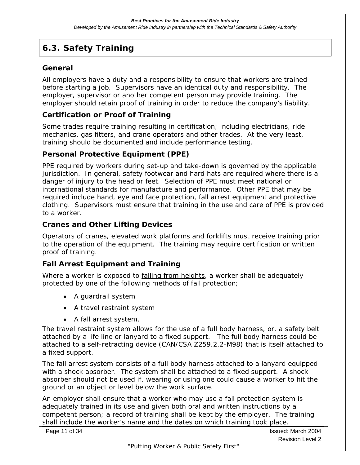### <span id="page-10-0"></span>**6.3. Safety Training**

### **General**

All employers have a duty and a responsibility to ensure that workers are trained before starting a job. Supervisors have an identical duty and responsibility. The employer, supervisor or another competent person may provide training. The employer should retain proof of training in order to reduce the company's liability.

#### **Certification or Proof of Training**

Some trades require training resulting in certification; including electricians, ride mechanics, gas fitters, and crane operators and other trades. At the very least, training should be documented and include performance testing.

### **Personal Protective Equipment (PPE)**

PPE required by workers during set-up and take-down is governed by the applicable jurisdiction. In general, safety footwear and hard hats are required where there is a danger of injury to the head or feet. Selection of PPE must meet national or international standards for manufacture and performance. Other PPE that may be required include hand, eye and face protection, fall arrest equipment and protective clothing. Supervisors must ensure that training in the use and care of PPE is provided to a worker.

#### **Cranes and Other Lifting Devices**

Operators of cranes, elevated work platforms and forklifts must receive training prior to the operation of the equipment. The training may require certification or written proof of training.

### **Fall Arrest Equipment and Training**

Where a worker is exposed to *falling from heights*, a worker shall be adequately protected by one of the following methods of fall protection;

- A guardrail system
- A travel restraint system
- A fall arrest system.

The *travel restraint system* allows for the use of a full body harness, or, a safety belt attached by a life line or lanyard to a fixed support. The full body harness could be attached to a self-retracting device (CAN/CSA Z259.2.2-M98) that is itself attached to a fixed support.

The *fall arrest system* consists of a full body harness attached to a lanyard equipped with a shock absorber. The system shall be attached to a fixed support. A shock absorber should not be used if, wearing or using one could cause a worker to hit the ground or an object or level below the work surface.

An employer shall ensure that a worker who may use a fall protection system is adequately trained in its use and given both oral and written instructions by a competent person; a record of training shall be kept by the employer. The training shall include the worker's name and the dates on which training took place.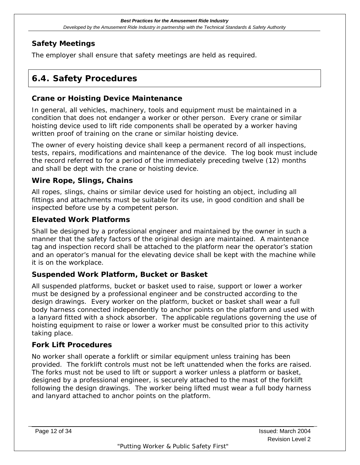### <span id="page-11-0"></span>**Safety Meetings**

The employer shall ensure that safety meetings are held as required.

### **6.4. Safety Procedures**

#### **Crane or Hoisting Device Maintenance**

In general, all vehicles, machinery, tools and equipment must be maintained in a condition that does not endanger a worker or other person. Every crane or similar hoisting device used to lift ride components shall be operated by a worker having written proof of training on the crane or similar hoisting device.

The owner of every hoisting device shall keep a permanent record of all inspections, tests, repairs, modifications and maintenance of the device. The log book must include the record referred to for a period of the immediately preceding twelve (12) months and shall be dept with the crane or hoisting device.

#### **Wire Rope, Slings, Chains**

All ropes, slings, chains or similar device used for hoisting an object, including all fittings and attachments must be suitable for its use, in good condition and shall be inspected before use by a competent person.

#### **Elevated Work Platforms**

Shall be designed by a professional engineer and maintained by the owner in such a manner that the safety factors of the original design are maintained. A maintenance tag and inspection record shall be attached to the platform near the operator's station and an operator's manual for the elevating device shall be kept with the machine while it is on the workplace.

#### **Suspended Work Platform, Bucket or Basket**

All suspended platforms, bucket or basket used to raise, support or lower a worker must be designed by a professional engineer and be constructed according to the design drawings. Every worker on the platform, bucket or basket shall wear a full body harness connected independently to anchor points on the platform and used with a lanyard fitted with a shock absorber. *The applicable regulations governing the use of hoisting equipment to raise or lower a worker must be consulted prior to this activity taking place.* 

#### **Fork Lift Procedures**

No worker shall operate a forklift or similar equipment unless training has been provided. The forklift controls must not be left unattended when the forks are raised. The forks must not be used to lift or support a worker unless a platform or basket, designed by a professional engineer, is securely attached to the mast of the forklift following the design drawings. The worker being lifted must wear a full body harness and lanyard attached to anchor points on the platform.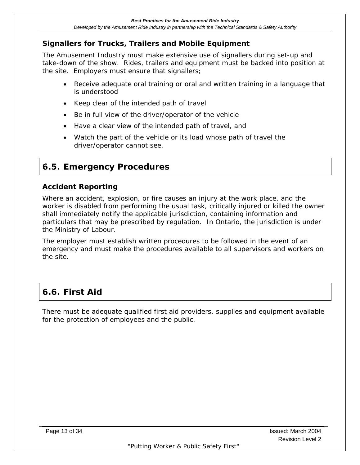### <span id="page-12-0"></span>**Signallers for Trucks, Trailers and Mobile Equipment**

The Amusement Industry must make extensive use of signallers during set-up and take-down of the show. Rides, trailers and equipment must be backed into position at the site. Employers must ensure that signallers;

- Receive adequate oral training or oral and written training in a language that is understood
- Keep clear of the intended path of travel
- Be in full view of the driver/operator of the vehicle
- Have a clear view of the intended path of travel, and
- Watch the part of the vehicle or its load whose path of travel the driver/operator cannot see.

### **6.5. Emergency Procedures**

### **Accident Reporting**

Where an accident, explosion, or fire causes an injury at the work place, and the worker is disabled from performing the usual task, critically injured or killed the owner shall *immediately* notify the applicable jurisdiction, containing information and particulars that may be prescribed by regulation. In Ontario, the jurisdiction is under the Ministry of Labour.

The employer must establish written procedures to be followed in the event of an emergency and must make the procedures available to all supervisors and workers on the site.

### **6.6. First Aid**

There must be adequate qualified first aid providers, supplies and equipment available for the protection of employees and the public.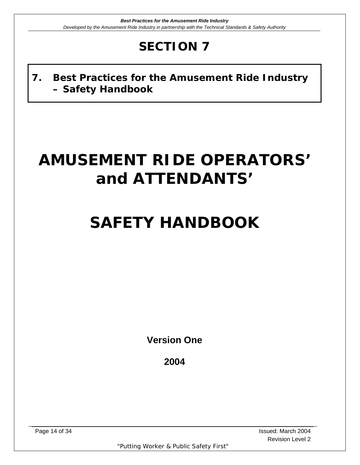<span id="page-13-0"></span>**7. Best Practices for the Amusement Ride Industry – Safety Handbook**

## **AMUSEMENT RIDE OPERATORS' and ATTENDANTS'**

# **SAFETY HANDBOOK**

**Version One** 

**2004** 

Page 14 of 34 Issued: March 2004 Revision Level 2

"Putting Worker & Public Safety First"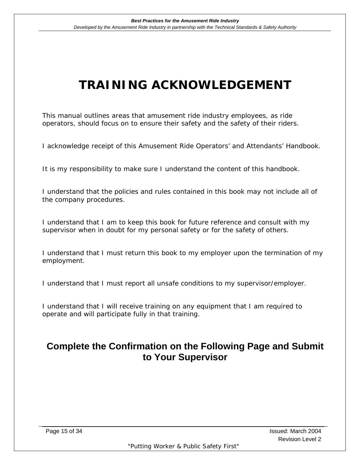## **TRAINING ACKNOWLEDGEMENT**

This manual outlines areas that amusement ride industry employees, as ride operators, should focus on to ensure their safety and the safety of their riders.

I acknowledge receipt of this Amusement Ride Operators' and Attendants' Handbook.

It is my responsibility to make sure I understand the content of this handbook.

I understand that the policies and rules contained in this book may not include all of the company procedures.

I understand that I am to keep this book for future reference and consult with my supervisor when in doubt for my personal safety or for the safety of others.

I understand that I must return this book to my employer upon the termination of my employment.

I understand that I must report all unsafe conditions to my supervisor/employer.

I understand that I will receive training on any equipment that I am required to operate and will participate fully in that training.

### **Complete the Confirmation on the Following Page and Submit to Your Supervisor**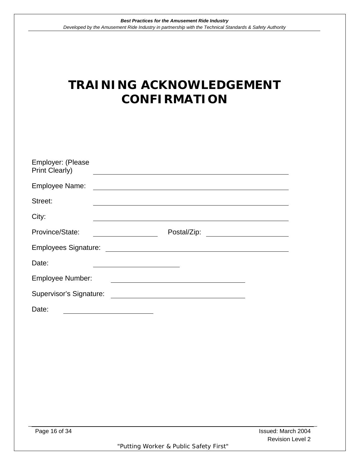## **TRAINING ACKNOWLEDGEMENT CONFIRMATION**

| Employer: (Please<br><b>Print Clearly)</b> | <u> 1989 - Andrea Stadt, fransk politiker (d. 1989)</u>                                                                                                                                                                              |  |
|--------------------------------------------|--------------------------------------------------------------------------------------------------------------------------------------------------------------------------------------------------------------------------------------|--|
| Employee Name:                             | <u> Andreas Andreas Andreas Andreas Andreas Andreas Andreas Andreas Andreas Andreas Andreas Andreas Andreas Andreas Andreas Andreas Andreas Andreas Andreas Andreas Andreas Andreas Andreas Andreas Andreas Andreas Andreas Andr</u> |  |
| Street:                                    | and the control of the control of the control of the control of the control of the control of the control of the                                                                                                                     |  |
| City:                                      | <u> 1989 - Jan Barbara, martxa al III-lea (h. 1989).</u>                                                                                                                                                                             |  |
| Province/State:                            |                                                                                                                                                                                                                                      |  |
|                                            |                                                                                                                                                                                                                                      |  |
| Date:                                      |                                                                                                                                                                                                                                      |  |
| <b>Employee Number:</b>                    |                                                                                                                                                                                                                                      |  |
| Supervisor's Signature:                    |                                                                                                                                                                                                                                      |  |
| Date:                                      | <u> 1989 - Johann Barbara, martxa alemaniar a</u>                                                                                                                                                                                    |  |
|                                            |                                                                                                                                                                                                                                      |  |
|                                            |                                                                                                                                                                                                                                      |  |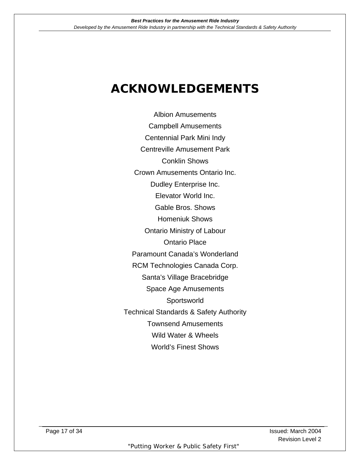## **ACKNOWLEDGEMENTS**

Albion Amusements Campbell Amusements Centennial Park Mini Indy Centreville Amusement Park Conklin Shows Crown Amusements Ontario Inc. Dudley Enterprise Inc. Elevator World Inc. Gable Bros. Shows Homeniuk Shows Ontario Ministry of Labour Ontario Place Paramount Canada's Wonderland RCM Technologies Canada Corp. Santa's Village Bracebridge Space Age Amusements Sportsworld Technical Standards & Safety Authority Townsend Amusements Wild Water & Wheels World's Finest Shows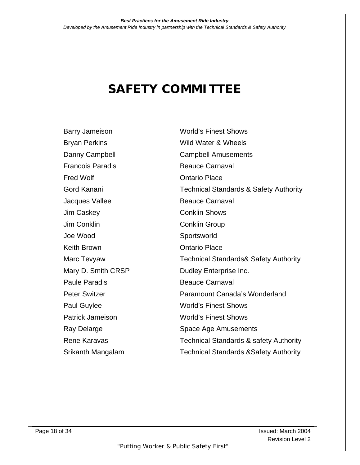## **SAFETY COMMITTEE**

Francois Paradis **Beauce Carnaval** Fred Wolf **Contact Contact Contact Contact Contact Contact Contact Contact Contact Contact Contact Contact Contact Contact Contact Contact Contact Contact Contact Contact Contact Contact Contact Contact Contact Contact Con** Jacques Vallee **Beauce Carnaval** Jim Caskey **Conklin Shows** Jim Conklin Conklin Group Joe Wood Sportsworld Keith Brown Ontario Place Paule Paradis **Beauce Carnaval** 

Barry Jameison World's Finest Shows Bryan Perkins **Wild Water & Wheels** Danny Campbell Campbell Amusements Gord Kanani **Technical Standards & Safety Authority** Marc Tevyaw **Technical Standards& Safety Authority** Mary D. Smith CRSP Dudley Enterprise Inc. Peter Switzer **Paramount Canada's Wonderland** Paul Guylee World's Finest Shows Patrick Jameison **World's Finest Shows** Ray Delarge **Space Age Amusements** Rene Karavas **Technical Standards & safety Authority** Srikanth Mangalam Technical Standards &Safety Authority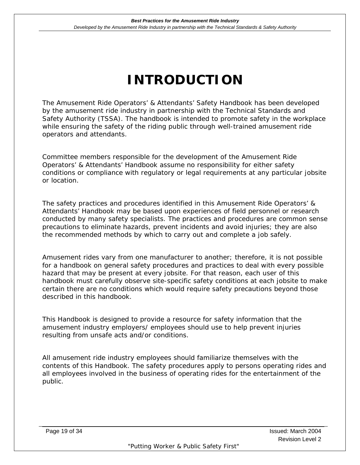## **INTRODUCTION**

The Amusement Ride Operators' & Attendants' Safety Handbook has been developed by the amusement ride industry in partnership with the Technical Standards and Safety Authority (TSSA). The handbook is intended to promote safety in the workplace while ensuring the safety of the riding public through well-trained amusement ride operators and attendants.

Committee members responsible for the development of the Amusement Ride Operators' & Attendants' Handbook assume no responsibility for either safety conditions or compliance with regulatory or legal requirements at any particular jobsite or location.

The safety practices and procedures identified in this Amusement Ride Operators' & Attendants' Handbook may be based upon experiences of field personnel or research conducted by many safety specialists. The practices and procedures are common sense precautions to eliminate hazards, prevent incidents and avoid injuries; they are also the recommended methods by which to carry out and complete a job safely.

Amusement rides vary from one manufacturer to another; therefore, it is not possible for a handbook on general safety procedures and practices to deal with every possible hazard that may be present at every jobsite. For that reason, each user of this handbook must carefully observe site-specific safety conditions at each jobsite to make certain there are no conditions which would require safety precautions beyond those described in this handbook.

This Handbook is designed to provide a resource for safety information that the amusement industry employers/ employees should use to help prevent injuries resulting from unsafe acts and/or conditions.

All amusement ride industry employees should familiarize themselves with the contents of this Handbook. The safety procedures apply to persons operating rides and all employees involved in the business of operating rides for the entertainment of the public.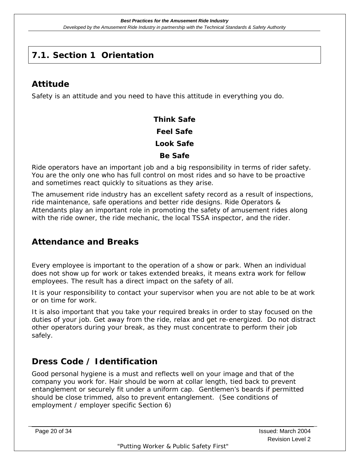### <span id="page-19-0"></span>**7.1. Section 1 Orientation**

### **Attitude**

Safety is an attitude and you need to have this attitude in everything you do.

**Think Safe Feel Safe Look Safe Be Safe** 

Ride operators have an important job and a big responsibility in terms of rider safety. You are the only one who has full control on most rides and so have to be proactive and sometimes react quickly to situations as they arise.

The amusement ride industry has an excellent safety record as a result of inspections, ride maintenance, safe operations and better ride designs. Ride Operators & Attendants play an important role in promoting the safety of amusement rides along with the ride owner, the ride mechanic, the local TSSA inspector, and the rider.

### **Attendance and Breaks**

Every employee is important to the operation of a show or park. When an individual does not show up for work or takes extended breaks, it means extra work for fellow employees. The result has a direct impact on the safety of all.

It is your responsibility to contact your supervisor when you are not able to be at work or on time for work.

It is also important that you take your required breaks in order to stay focused on the duties of your job. Get away from the ride, relax and get re-energized.Do not distract other operators during your break, as they must concentrate to perform their job safely.

### **Dress Code / Identification**

Good personal hygiene is a must and reflects well on your image and that of the company you work for. Hair should be worn at collar length, tied back to prevent entanglement or securely fit under a uniform cap. Gentlemen's beards if permitted should be close trimmed, also to prevent entanglement. (See conditions of employment / employer specific Section 6)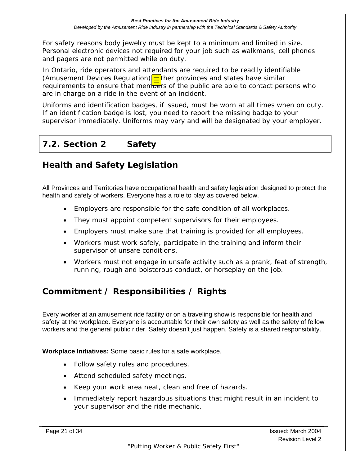<span id="page-20-0"></span>For safety reasons body jewelry must be kept to a minimum and limited in size. Personal electronic devices not required for your job such as walkmans, cell phones and pagers are not permitted while on duty.

In Ontario, ride operators and attendants are required to be readily identifiable (Amusement Devices Regulation) $\frac{1}{x}$ ther provinces and states have similar requirements to ensure that members of the public are able to contact persons who are in charge on a ride in the event of an incident.

Uniforms and identification badges, if issued, must be worn at all times when on duty. If an identification badge is lost, you need to report the missing badge to your supervisor immediately. Uniforms may vary and will be designated by your employer.

## **7.2. Section 2 Safety**

### **Health and Safety Legislation**

All Provinces and Territories have occupational health and safety legislation designed to protect the health and safety of workers. Everyone has a role to play as covered below.

- Employers are responsible for the safe condition of all workplaces.
- They must appoint competent supervisors for their employees.
- Employers must make sure that training is provided for all employees.
- Workers must work safely, participate in the training and inform their supervisor of unsafe conditions.
- Workers must not engage in unsafe activity such as a prank, feat of strength, running, rough and boisterous conduct, or horseplay on the job.

### **Commitment / Responsibilities / Rights**

Every worker at an amusement ride facility or on a traveling show is responsible for health and safety at the workplace. Everyone is accountable for their own safety as well as the safety of fellow workers and the general public rider. Safety doesn't just happen. Safety is a shared responsibility.

**Workplace Initiatives:** Some basic rules for a safe workplace.

- Follow safety rules and procedures.
- Attend scheduled safety meetings.
- Keep your work area neat, clean and free of hazards.
- Immediately report hazardous situations that might result in an incident to your supervisor and the ride mechanic.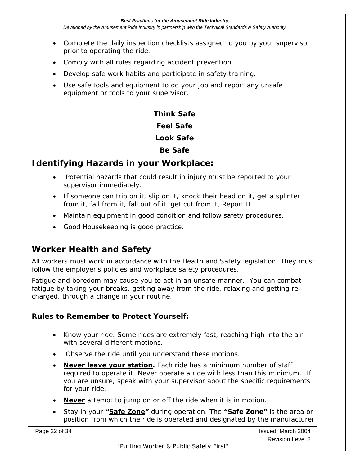- Complete the daily inspection checklists assigned to you by your supervisor prior to operating the ride.
- Comply with all rules regarding accident prevention.
- Develop safe work habits and participate in safety training.
- Use safe tools and equipment to do your job and report any unsafe equipment or tools to your supervisor.

## **Think Safe**

### **Feel Safe**

#### **Look Safe**

#### **Be Safe**

### **Identifying Hazards in your Workplace:**

- Potential hazards that could result in injury must be reported to your supervisor immediately.
- If someone can trip on it, slip on it, knock their head on it, get a splinter from it, fall from it, fall out of it, get cut from it, Report It
- Maintain equipment in good condition and follow safety procedures.
- Good Housekeeping is good practice.

### **Worker Health and Safety**

All workers must work in accordance with the Health and Safety legislation. They must follow the employer's policies and workplace safety procedures.

Fatigue and boredom may cause you to act in an unsafe manner. You can combat fatigue by taking your breaks, getting away from the ride, relaxing and getting recharged, through a change in your routine.

#### **Rules to Remember to Protect Yourself:**

- Know your ride. Some rides are extremely fast, reaching high into the air with several different motions.
- Observe the ride until you understand these motions.
- **Never leave your station***.* Each ride has a minimum number of staff required to operate it. Never operate a ride with less than this minimum. If you are unsure, speak with your supervisor about the specific requirements for your ride.
- *Never* attempt to jump on or off the ride when it is in motion.
- Stay in your **"Safe Zone"** during operation. The **"Safe Zone"** is the area or position from which the ride is operated and designated by the manufacturer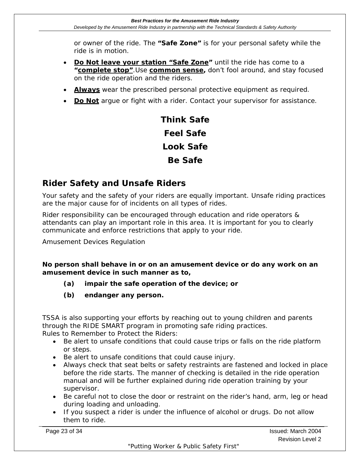or owner of the ride. The **"Safe Zone"** is for your personal safety while the ride is in motion.

- **Do Not leave your station "Safe Zone"** until the ride has come to a **"complete stop"**.Use **common sense,** don't fool around, and stay focused on the ride operation and the riders.
- **Always** wear the prescribed personal protective equipment as required.
- **Do Not** argue or fight with a rider. Contact your supervisor for assistance.

**Think Safe Feel Safe Look Safe Be Safe**

### **Rider Safety and Unsafe Riders**

Your safety and the safety of your riders are equally important. Unsafe riding practices are the major cause for of incidents on all types of rides.

Rider responsibility can be encouraged through education and ride operators & attendants can play an important role in this area. It is important for you to clearly communicate and enforce restrictions that apply to your ride.

Amusement Devices Regulation

*No person shall behave in or on an amusement device or do any work on an amusement device in such manner as to,* 

*(a) impair the safe operation of the device; or* 

*(b) endanger any person.* 

TSSA is also supporting your efforts by reaching out to young children and parents through the RIDE SMART program in promoting safe riding practices. Rules to Remember to Protect the Riders:

- Be alert to unsafe conditions that could cause trips or falls on the ride platform or steps.
- Be alert to unsafe conditions that could cause injury.
- Always check that seat belts or safety restraints are fastened and locked in place before the ride starts. The manner of checking is detailed in the ride operation manual and will be further explained during ride operation training by your supervisor.
- Be careful not to close the door or restraint on the rider's hand, arm, leg or head during loading and unloading.
- If you suspect a rider is under the influence of alcohol or drugs. Do not allow them to ride.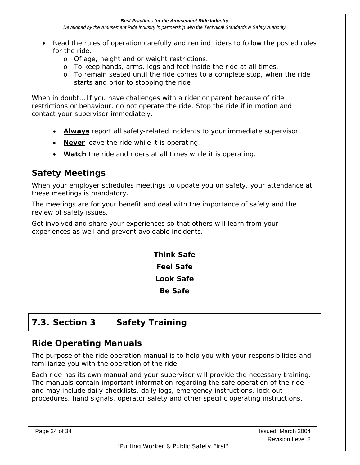- <span id="page-23-0"></span>• Read the rules of operation carefully and remind riders to follow the posted rules for the ride.
	- o Of age, height and or weight restrictions.
	- o To keep hands, arms, legs and feet inside the ride at all times.
	- o To remain seated until the ride comes to a complete stop, when the ride starts and prior to stopping the ride

When in doubt… If you have challenges with a rider or parent because of ride restrictions or behaviour, do not operate the ride. Stop the ride if in motion and contact your supervisor immediately.

- **Always** report all safety-related *incidents* to your immediate supervisor.
- **Never** leave the ride while it is operating.
- **Watch** the ride and riders at all times while it is operating.

### **Safety Meetings**

When your employer schedules meetings to update you on safety, your attendance at these meetings is mandatory.

The meetings are for your benefit and deal with the importance of safety and the review of safety issues.

Get involved and share your experiences so that others will learn from your experiences as well and prevent avoidable incidents.

> **Think Safe Feel Safe Look Safe Be Safe**

## **7.3. Section 3 Safety Training**

### **Ride Operating Manuals**

The purpose of the ride operation manual is to help you with your responsibilities and familiarize you with the operation of the ride.

Each ride has its own manual and your supervisor will provide the necessary training. The manuals contain important information regarding the safe operation of the ride and may include daily checklists, daily logs, emergency instructions, lock out procedures, hand signals, operator safety and other specific operating instructions.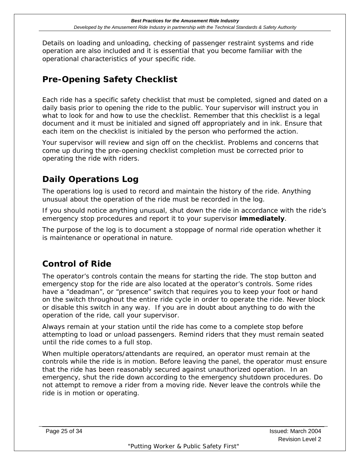Details on loading and unloading, checking of passenger restraint systems and ride operation are also included and it is essential that you become familiar with the operational characteristics of your specific ride.

### **Pre-Opening Safety Checklist**

Each ride has a specific safety checklist that must be completed, signed and dated on a daily basis prior to opening the ride to the public. Your supervisor will instruct you in what to look for and how to use the checklist. Remember that this checklist is a legal document and it must be initialed and signed off appropriately and in ink. Ensure that each item on the checklist is initialed by the person who performed the action.

Your supervisor will review and sign off on the checklist. Problems and concerns that come up during the pre-opening checklist completion must be corrected prior to operating the ride with riders.

### **Daily Operations Log**

The operations log is used to record and maintain the history of the ride. Anything unusual about the operation of the ride must be recorded in the log.

If you should notice anything unusual, shut down the ride in accordance with the ride's emergency stop procedures and report it to your supervisor **immediately**.

The purpose of the log is to document a stoppage of normal ride operation whether it is maintenance or operational in nature.

### **Control of Ride**

The operator's controls contain the means for starting the ride. The stop button and emergency stop for the ride are also located at the operator's controls. Some rides have a "deadman", or "presence" switch that requires you to keep your foot or hand on the switch throughout the entire ride cycle in order to operate the ride. Never block or disable this switch in any way. If you are in doubt about anything to do with the operation of the ride, call your supervisor.

Always remain at your station until the ride has come to a complete stop before attempting to load or unload passengers. Remind riders that they must remain seated until the ride comes to a full stop.

When multiple operators/attendants are required, an operator must remain at the controls while the ride is in motion. Before leaving the panel, the operator must ensure that the ride has been reasonably secured against unauthorized operation. In an emergency, shut the ride down according to the emergency shutdown procedures. Do not attempt to remove a rider from a moving ride. Never leave the controls while the ride is in motion or operating.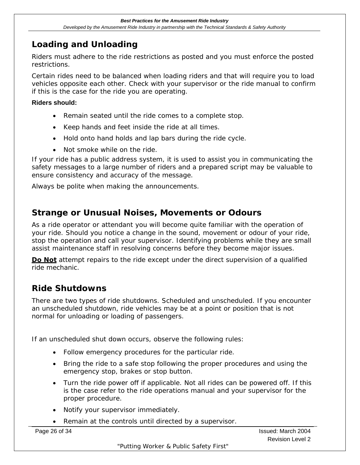### **Loading and Unloading**

Riders must adhere to the ride restrictions as posted and you must enforce the posted restrictions.

Certain rides need to be balanced when loading riders and that will require you to load vehicles opposite each other. Check with your supervisor or the ride manual to confirm if this is the case for the ride you are operating.

**Riders should:** 

- Remain seated until the ride comes to a complete stop.
- Keep hands and feet inside the ride at all times.
- Hold onto hand holds and lap bars during the ride cycle.
- Not smoke while on the ride.

If your ride has a public address system, it is used to assist you in communicating the safety messages to a large number of riders and a prepared script may be valuable to ensure consistency and accuracy of the message.

Always be polite when making the announcements.

### **Strange or Unusual Noises, Movements or Odours**

As a ride operator or attendant you will become quite familiar with the operation of your ride. Should you notice a change in the sound, movement or odour of your ride, stop the operation and call your supervisor. Identifying problems while they are small assist maintenance staff in resolving concerns before they become major issues.

**Do Not** attempt repairs to the ride except under the direct supervision of a qualified ride mechanic.

### **Ride Shutdowns**

There are two types of ride shutdowns. Scheduled and unscheduled. If you encounter an unscheduled shutdown, ride vehicles may be at a point or position that is not normal for unloading or loading of passengers.

If an unscheduled shut down occurs, observe the following rules:

- Follow emergency procedures for the particular ride.
- Bring the ride to a safe stop following the proper procedures and using the emergency stop, brakes or stop button.
- Turn the ride power off if applicable. Not all rides can be powered off. If this is the case refer to the ride operations manual and your supervisor for the proper procedure.
- Notify your supervisor immediately.
- Remain at the controls until directed by a supervisor.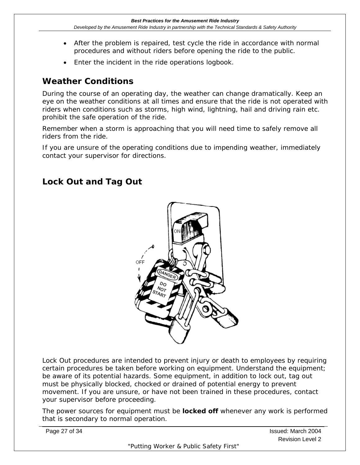- After the problem is repaired, test cycle the ride in accordance with normal procedures and without riders before opening the ride to the public.
- Enter the incident in the ride operations logbook.

### **Weather Conditions**

During the course of an operating day, the weather can change dramatically. Keep an eye on the weather conditions at all times and ensure that the ride is not operated with riders when conditions such as storms, high wind, lightning, hail and driving rain etc. prohibit the safe operation of the ride.

Remember when a storm is approaching that you will need time to safely remove all riders from the ride.

If you are unsure of the operating conditions due to impending weather, immediately contact your supervisor for directions.

### **Lock Out and Tag Out**



Lock Out procedures are intended to prevent injury or death to employees by requiring certain procedures be taken before working on equipment. Understand the equipment; be aware of its potential hazards. Some equipment, in addition to lock out, tag out must be physically blocked, chocked or drained of potential energy to prevent movement. If you are unsure, or have not been trained in these procedures, contact your supervisor before proceeding.

The power sources for equipment must be **locked off** whenever any work is performed that is secondary to normal operation.

| Page 27 of 34 | Issued: March 2004      |
|---------------|-------------------------|
|               | <b>Revision Level 2</b> |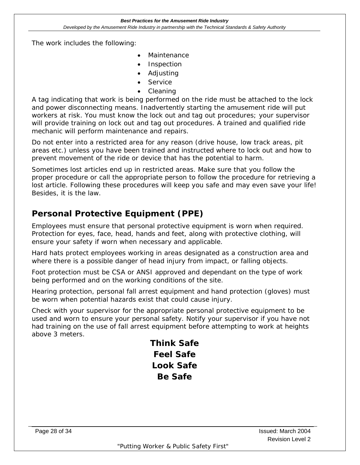The work includes the following:

- **Maintenance**
- **Inspection**
- Adjusting
- **Service**
- Cleaning

A tag indicating that work is being performed on the ride must be attached to the lock and power disconnecting means. Inadvertently starting the amusement ride will put workers at risk. You must know the lock out and tag out procedures; your supervisor will provide training on lock out and tag out procedures. A trained and qualified ride mechanic will perform maintenance and repairs.

Do not enter into a restricted area for any reason (drive house, low track areas, pit areas etc.) unless you have been trained and instructed where to lock out and how to prevent movement of the ride or device that has the potential to harm.

Sometimes lost articles end up in restricted areas. Make sure that you follow the proper procedure or call the appropriate person to follow the procedure for retrieving a lost article. Following these procedures will keep you safe and may even save your life! Besides, it is the law.

### **Personal Protective Equipment (PPE)**

Employees must ensure that personal protective equipment is worn when required. Protection for eyes, face, head, hands and feet, along with protective clothing, will ensure your safety if worn when necessary and applicable.

Hard hats protect employees working in areas designated as a construction area and where there is a possible danger of head injury from impact, or falling objects.

Foot protection must be CSA or ANSI approved and dependant on the type of work being performed and on the working conditions of the site.

Hearing protection, personal fall arrest equipment and hand protection (gloves) must be worn when potential hazards exist that could cause injury.

Check with your supervisor for the appropriate personal protective equipment to be used and worn to ensure your personal safety. Notify your supervisor if you have not had training on the use of fall arrest equipment before attempting to work at heights above 3 meters.

> **Think Safe Feel Safe Look Safe Be Safe**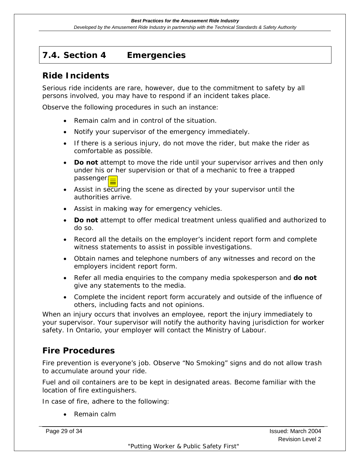### <span id="page-28-0"></span>**7.4. Section 4 Emergencies**

### **Ride Incidents**

Serious ride incidents are rare, however, due to the commitment to safety by all persons involved, you may have to respond if an incident takes place.

Observe the following procedures in such an instance:

- Remain calm and in control of the situation.
- Notify your supervisor of the emergency immediately.
- If there is a serious injury, do not move the rider, but make the rider as comfortable as possible.
- **Do not** attempt to move the ride until your supervisor arrives and then only under his or her supervision or that of a mechanic to free a trapped passenger<sub>-</sub>
- Assist in securing the scene as directed by your supervisor until the authorities arrive.
- Assist in making way for emergency vehicles.
- **Do not** attempt to offer medical treatment unless qualified and authorized to do so.
- Record all the details on the employer's incident report form and complete witness statements to assist in possible investigations.
- Obtain names and telephone numbers of any witnesses and record on the employers incident report form.
- Refer all media enquiries to the company media spokesperson and **do not**  give any statements to the media.
- Complete the incident report form accurately and outside of the influence of others, including facts and not opinions.

When an injury occurs that involves an employee, report the injury immediately to your supervisor. Your supervisor will notify the authority having jurisdiction for worker safety. In Ontario, your employer will contact the Ministry of Labour.

### **Fire Procedures**

Fire prevention is everyone's job. Observe "No Smoking" signs and do not allow trash to accumulate around your ride.

Fuel and oil containers are to be kept in designated areas. Become familiar with the location of fire extinguishers.

In case of fire, adhere to the following:

• Remain calm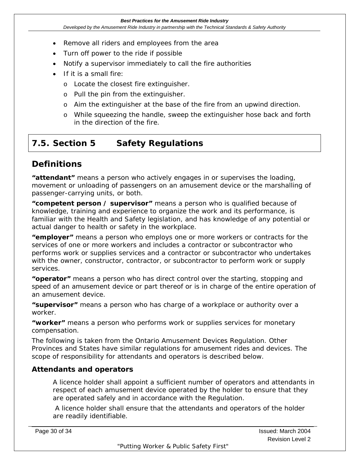- <span id="page-29-0"></span>• Remove all riders and employees from the area
- Turn off power to the ride if possible
- Notify a supervisor immediately to call the fire authorities
- If it is a small fire:
	- o Locate the closest fire extinguisher.
	- o Pull the pin from the extinguisher.
	- o Aim the extinguisher at the base of the fire from an upwind direction.
	- o While squeezing the handle, sweep the extinguisher hose back and forth in the direction of the fire.

### **7.5. Section 5 Safety Regulations**

### **Definitions**

**"attendant"** means a person who actively engages in or supervises the loading, movement or unloading of passengers on an amusement device or the marshalling of passenger-carrying units, or both.

**"competent person / supervisor"** means a person who is qualified because of knowledge, training and experience to organize the work and its performance, is familiar with the Health and Safety legislation, and has knowledge of any potential or actual danger to health or safety in the workplace.

**"employer"** means a person who employs one or more workers or contracts for the services of one or more workers and includes a contractor or subcontractor who performs work or supplies services and a contractor or subcontractor who undertakes with the owner, constructor, contractor, or subcontractor to perform work or supply services.

**"operator"** means a person who has direct control over the starting, stopping and speed of an amusement device or part thereof or is in charge of the entire operation of an amusement device.

**"supervisor"** means a person who has charge of a workplace or authority over a worker.

**"worker"** means a person who performs work or supplies services for monetary compensation.

The following is taken from the *Ontario Amusement Devices Regulation*. Other Provinces and States have similar regulations for amusement rides and devices. The scope of responsibility for attendants and operators is described below.

#### *Attendants and operators*

*A licence holder shall appoint a sufficient number of operators and attendants in respect of each amusement device operated by the holder to ensure that they are operated safely and in accordance with the Regulation.* 

 *A licence holder shall ensure that the attendants and operators of the holder are readily identifiable.* 

| Page 30 of 34 |                                        | Issued: March 2004 |
|---------------|----------------------------------------|--------------------|
|               |                                        | Revision Level 2   |
|               | "Putting Worker & Public Safety First" |                    |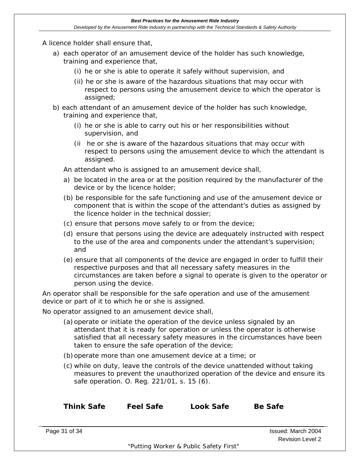- *A licence holder shall ensure that,* 
	- *a) each operator of an amusement device of the holder has such knowledge, training and experience that,* 
		- *(i) he or she is able to operate it safely without supervision, and*
		- *(ii) he or she is aware of the hazardous situations that may occur with respect to persons using the amusement device to which the operator is assigned;*
	- *b) each attendant of an amusement device of the holder has such knowledge, training and experience that,* 
		- *(i) he or she is able to carry out his or her responsibilities without supervision, and*
		- *(ii he or she is aware of the hazardous situations that may occur with respect to persons using the amusement device to which the attendant is assigned.*
		- *An attendant who is assigned to an amusement device shall,*
		- *a) be located in the area or at the position required by the manufacturer of the device or by the licence holder;*
		- *(b) be responsible for the safe functioning and use of the amusement device or component that is within the scope of the attendant's duties as assigned by the licence holder in the technical dossier;*
		- *(c) ensure that persons move safely to or from the device;*
		- *(d) ensure that persons using the device are adequately instructed with respect to the use of the area and components under the attendant's supervision; and*
		- *(e) ensure that all components of the device are engaged in order to fulfill their respective purposes and that all necessary safety measures in the circumstances are taken before a signal to operate is given to the operator or person using the device.*

*An operator shall be responsible for the safe operation and use of the amusement device or part of it to which he or she is assigned.* 

*No operator assigned to an amusement device shall,*

- *(a) operate or initiate the operation of the device unless signaled by an attendant that it is ready for operation or unless the operator is otherwise satisfied that all necessary safety measures in the circumstances have been taken to ensure the safe operation of the device;*
- *(b) operate more than one amusement device at a time; or*
- *(c) while on duty, leave the controls of the device unattended without taking measures to prevent the unauthorized operation of the device and ensure its safe operation. O. Reg. 221/01, s. 15 (6).*

| <b>Think Safe</b> | <b>Feel Safe</b> | <b>Look Safe</b> | <b>Be Safe</b>                                |
|-------------------|------------------|------------------|-----------------------------------------------|
| Page 31 of 34     |                  |                  | Issued: March 2004<br><b>Revision Level 2</b> |

"Putting Worker & Public Safety First"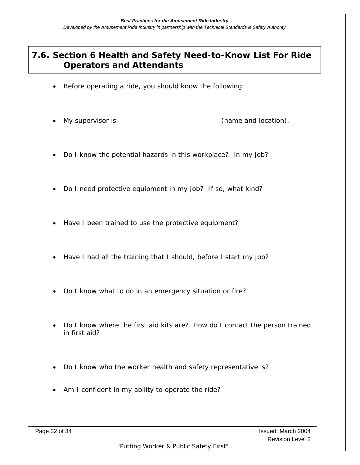### <span id="page-31-0"></span>**7.6. Section 6 Health and Safety Need-to-Know List For Ride Operators and Attendants**

- Before operating a ride, you should know the following:
- My supervisor is **EXECUTE:** (name and location).
- Do I know the potential hazards in this workplace? In my job?
- Do I need protective equipment in my job? If so, what kind?
- Have I been trained to use the protective equipment?
- Have I had all the training that I should, before I start my job?
- Do I know what to do in an emergency situation or fire?
- Do I know where the first aid kits are? How do I contact the person trained in first aid?
- Do I know who the worker health and safety representative is?
- Am I confident in my ability to operate the ride?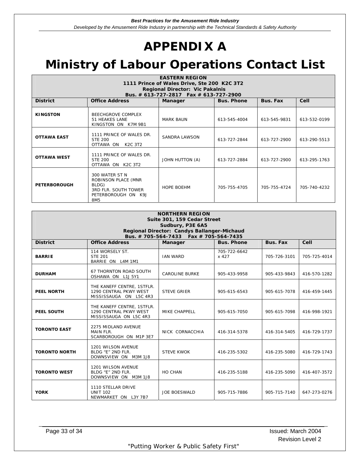## **APPENDIX A**

## <span id="page-32-0"></span>**Ministry of Labour Operations Contact List**

| <b>EASTERN REGION</b><br>1111 Prince of Wales Drive, Ste 200 K2C 3T2<br><b>Regional Director: Vic Pakalnis</b>                          |                                                                                                                  |                      |              |              |              |  |
|-----------------------------------------------------------------------------------------------------------------------------------------|------------------------------------------------------------------------------------------------------------------|----------------------|--------------|--------------|--------------|--|
| Bus. # 613-727-2817  Fax # 613-727-2900<br><b>Office Address</b><br>Cell<br><b>District</b><br>Bus. Fax<br><b>Bus. Phone</b><br>Manager |                                                                                                                  |                      |              |              |              |  |
| <b>KINGSTON</b>                                                                                                                         | <b>BEECHGROVE COMPLEX</b><br>51 HEAKES LANE<br>KINGSTON ON K7M 9B1                                               | MARK BAUN            | 613-545-4004 | 613-545-9831 | 613-532-0199 |  |
| <b>OTTAWA EAST</b>                                                                                                                      | 1111 PRINCE OF WALES DR.<br><b>STE 200</b><br>OTTAWA ON K2C 3T2                                                  | <b>SANDRA LAWSON</b> | 613-727-2844 | 613-727-2900 | 613-290-5513 |  |
| <b>OTTAWA WEST</b>                                                                                                                      | 1111 PRINCE OF WALES DR.<br><b>STE 200</b><br>OTTAWA ON K2C 3T2                                                  | JOHN HUTTON (A)      | 613-727-2884 | 613-727-2900 | 613-295-1763 |  |
| <b>PETERBOROUGH</b>                                                                                                                     | 300 WATER ST N<br>ROBINSON PLACE (MNR<br>BLDG)<br>3RD FLR. SOUTH TOWER<br>PETERBOROUGH ON K9J<br>8M <sub>5</sub> | <b>HOPE BOEHM</b>    | 705-755-4705 | 705-755-4724 | 705-740-4232 |  |

| <b>NORTHERN REGION</b>                                          |                                                                                |                       |                       |              |              |  |  |  |  |
|-----------------------------------------------------------------|--------------------------------------------------------------------------------|-----------------------|-----------------------|--------------|--------------|--|--|--|--|
| Suite 301, 159 Cedar Street                                     |                                                                                |                       |                       |              |              |  |  |  |  |
| Sudbury, P3E 6A5<br>Regional Director: Candys Ballanger-Michaud |                                                                                |                       |                       |              |              |  |  |  |  |
| Bus. # 705-564-7433  Fax # 705-564-7435                         |                                                                                |                       |                       |              |              |  |  |  |  |
| <b>District</b>                                                 | <b>Office Address</b>                                                          | Manager               | <b>Bus. Phone</b>     | Bus. Fax     | Cell         |  |  |  |  |
| <b>BARRIE</b>                                                   | 114 WORSELY ST.<br><b>STE 201</b><br>BARRIE ON L4M 1M1                         | <b>IAN WARD</b>       | 705-722-6642<br>x 427 | 705-726-3101 | 705-725-4014 |  |  |  |  |
| <b>DURHAM</b>                                                   | 67 THORNTON ROAD SOUTH<br>OSHAWA ON L1J 5Y1                                    | <b>CAROLINE BURKE</b> | 905-433-9958          | 905-433-9843 | 416-570-1282 |  |  |  |  |
| <b>PEEL NORTH</b>                                               | THE KANEFF CENTRE, 1STFLR.<br>1290 CENTRAL PKWY WEST<br>MISSISSAUGA ON L5C 4R3 | <b>STEVE GRIER</b>    | 905-615-6543          | 905-615-7078 | 416-459-1445 |  |  |  |  |
| PEEL SOUTH                                                      | THE KANEFF CENTRE, 1STFLR.<br>1290 CENTRAL PKWY WEST<br>MISSISSAUGA ON L5C 4R3 | MIKE CHAPPELL         | 905-615-7050          | 905-615-7098 | 416-998-1921 |  |  |  |  |
| <b>TORONTO EAST</b>                                             | 2275 MIDLAND AVENUE<br>MAIN FLR.<br>SCARBOROUGH ON M1P 3E7                     | NICK CORNACCHIA       | 416-314-5378          | 416-314-5405 | 416-729-1737 |  |  |  |  |
| <b>TORONTO NORTH</b>                                            | 1201 WILSON AVENUE<br>BLDG "E" 2ND FLR.<br>DOWNSVIEW ON M3M 1J8                | <b>STEVE KWOK</b>     | 416-235-5302          | 416-235-5080 | 416-729-1743 |  |  |  |  |
| <b>TORONTO WEST</b>                                             | 1201 WILSON AVENUE<br>BLDG "E" 2ND FLR.<br>DOWNSVIEW ON M3M 1J8                | HO CHAN               | 416-235-5188          | 416-235-5090 | 416-407-3572 |  |  |  |  |
| <b>YORK</b>                                                     | 1110 STELLAR DRIVE<br><b>UNIT 102</b><br>NEWMARKET ON L3Y 7B7                  | <b>JOE BOESWALD</b>   | 905-715-7886          | 905-715-7140 | 647-273-0276 |  |  |  |  |

Page 33 of 34 Issued: March 2004 Revision Level 2